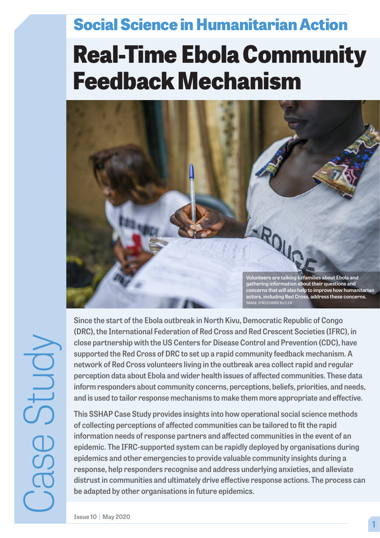# **Social Science in Humanitarian Action**

# **Real-Time Ebola Community Feedback Mechanism**



Case Study

Since the start of the Ebola outbreak in North Kivu, Democratic Republic of Congo (DRC), the International Federation of Red Cross and Red Crescent Societies (IFRC), in close partnership with the US Centers for Disease Control and Prevention (CDC), have supported the Red Cross of DRC to set up a rapid community feedback mechanism. A network of Red Cross volunteers living in the outbreak area collect rapid and regular perception data about Ebola and wider health issues of affected communities. These data inform responders about community concerns, perceptions, beliefs, priorities, and needs, and is used to tailor response mechanisms to make them more appropriate and effective.

This SSHAP Case Study provides insights into how operational social science methods of collecting perceptions of affected communities can be tailored to fit the rapid information needs of response partners and affected communities in the event of an epidemic. The IFRC-supported system can be rapidly deployed by organisations during epidemics and other emergencies to provide valuable community insights during a response, help responders recognise and address underlying anxieties, and alleviate distrust in communities and ultimately drive effective response actions. The process can be adapted by other organisations in future epidemics.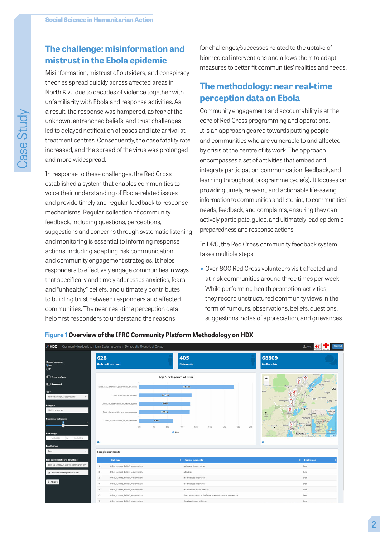## **The challenge: misinformation and mistrust in the Ebola epidemic**

Misinformation, mistrust of outsiders, and conspiracy theories spread quickly across affected areas in North Kivu due to decades of violence together with unfamiliarity with Ebola and response activities. As a result, the response was hampered, as fear of the unknown, entrenched beliefs, and trust challenges led to delayed notification of cases and late arrival at treatment centres. Consequently, the case fatality rate increased, and the spread of the virus was prolonged and more widespread.

In response to these challenges, the Red Cross established a system that enables communities to voice their understanding of Ebola-related issues and provide timely and regular feedback to response mechanisms. Regular collection of community feedback, including questions, perceptions, suggestions and concerns through systematic listening and monitoring is essential to informing response actions, including adapting risk communication and community engagement strategies. It helps responders to effectively engage communities in ways that specifically and timely addresses anxieties, fears, and "unhealthy" beliefs, and ultimately contributes to building trust between responders and affected communities. The near real-time perception data help first responders to understand the reasons

for challenges/successes related to the uptake of biomedical interventions and allows them to adapt measures to better fit communities' realities and needs.

## **The methodology: near real-time perception data on Ebola**

Community engagement and accountability is at the core of Red Cross programming and operations. It is an approach geared towards putting people and communities who are vulnerable to and affected by crisis at the centre of its work. The approach encompasses a set of activities that embed and integrate participation, communication, feedback, and learning throughout programme cycle(s). It focuses on providing timely, relevant, and actionable life-saving information to communities and listening to communities' needs, feedback, and complaints, ensuring they can actively participate, guide, and ultimately lead epidemic preparedness and response actions.

In DRC, the Red Cross community feedback system takes multiple steps:

**•** Over 800 Red Cross volunteers visit affected and at-risk communities around three times per week. While performing health promotion activities, they record unstructured community views in the form of rumours, observations, beliefs, questions, suggestions, notes of appreciation, and grievances.



#### **Figure 1 Overview of the IFRC Community Platform Methodology on HDX**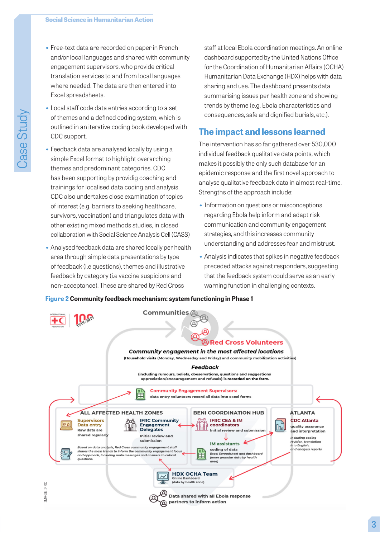- **•** Free-text data are recorded on paper in French and/or local languages and shared with community engagement supervisors, who provide critical translation services to and from local languages where needed. The data are then entered into Excel spreadsheets.
- **•** Local staff code data entries according to a set of themes and a defined coding system, which is outlined in an iterative coding book developed with CDC support.
- **•** Feedback data are analysed locally by using a simple Excel format to highlight overarching themes and predominant categories. CDC has been supporting by providig coaching and trainings for localised data coding and analysis. CDC also undertakes close examination of topics of interest (e.g. barriers to seeking healthcare, survivors, vaccination) and triangulates data with other existing mixed methods studies, in closed collaboration with Social Science Analysis Cell (CASS)
- **•** Analysed feedback data are shared locally per health area through simple data presentations by type of feedback (i.e questions), themes and illustrative feedback by category (i.e vaccine suspicions and non-acceptance). These are shared by Red Cross

staff at local Ebola coordination meetings. An online dashboard supported by the United Nations Office for the Coordination of Humanitarian Affairs (OCHA) Humanitarian Data Exchange (HDX) helps with data sharing and use. The dashboard presents data summarising issues per health zone and showing trends by theme (e.g. Ebola characteristics and consequences, safe and dignified burials, etc.).

### **The impact and lessons learned**

The intervention has so far gathered over 530,000 individual feedback qualitative data points, which makes it possibly the only such database for an epidemic response and the first novel approach to analyse qualitative feedback data in almost real-time. Strengths of the approach include:

- **•** Information on questions or misconceptions regarding Ebola help inform and adapt risk communication and community engagement strategies, and this increases community understanding and addresses fear and mistrust.
- **•** Analysis indicates that spikes in negative feedback preceded attacks against responders, suggesting that the feedback system could serve as an early warning function in challenging contexts.

#### **Figure 2 Community feedback mechanism: system functioning in Phase 1**